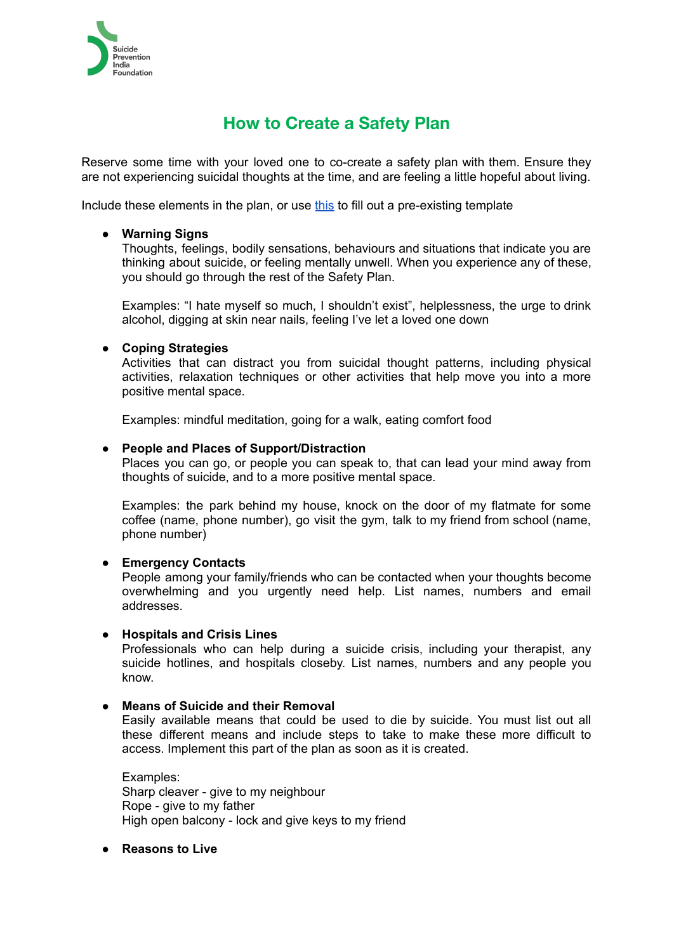

# **How to Create a Safety Plan**

Reserve some time with your loved one to co-create a safety plan with them. Ensure they are not experiencing suicidal thoughts at the time, and are feeling a little hopeful about living.

Include these elements in the plan, or use [this](http://suicidesafetyplan.com/uploads/SAFETY_PLAN_form_8.21.12.pdf) to fill out a pre-existing template

## **● Warning Signs**

Thoughts, feelings, bodily sensations, behaviours and situations that indicate you are thinking about suicide, or feeling mentally unwell. When you experience any of these, you should go through the rest of the Safety Plan.

Examples: "I hate myself so much, I shouldn't exist", helplessness, the urge to drink alcohol, digging at skin near nails, feeling I've let a loved one down

## **● Coping Strategies**

Activities that can distract you from suicidal thought patterns, including physical activities, relaxation techniques or other activities that help move you into a more positive mental space.

Examples: mindful meditation, going for a walk, eating comfort food

#### **● People and Places of Support/Distraction**

Places you can go, or people you can speak to, that can lead your mind away from thoughts of suicide, and to a more positive mental space.

Examples: the park behind my house, knock on the door of my flatmate for some coffee (name, phone number), go visit the gym, talk to my friend from school (name, phone number)

#### **● Emergency Contacts**

People among your family/friends who can be contacted when your thoughts become overwhelming and you urgently need help. List names, numbers and email addresses.

#### **● Hospitals and Crisis Lines**

Professionals who can help during a suicide crisis, including your therapist, any suicide hotlines, and hospitals closeby. List names, numbers and any people you know.

### **● Means of Suicide and their Removal**

Easily available means that could be used to die by suicide. You must list out all these different means and include steps to take to make these more difficult to access. Implement this part of the plan as soon as it is created.

Examples: Sharp cleaver - give to my neighbour Rope - give to my father High open balcony - lock and give keys to my friend

#### **● Reasons to Live**